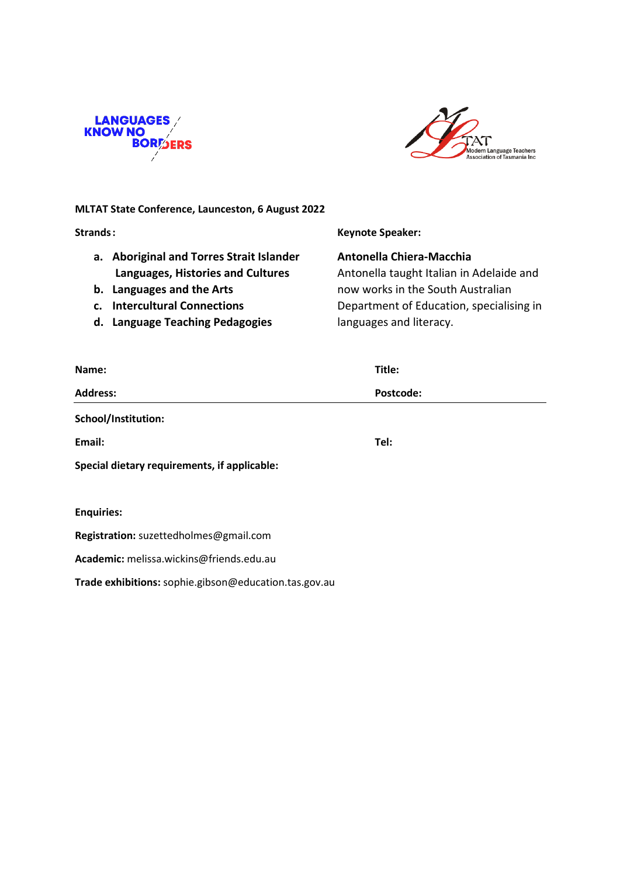



# **MLTAT State Conference, Launceston, 6 August 2022**

**Strands: Keynote Speaker:**

- **a. Aboriginal and Torres Strait Islander Antonella Chiera-Macchia**
- 
- 
- d. Language Teaching Pedagogies languages and literacy.

**Languages, Histories and Cultures** Antonella taught Italian in Adelaide and **b.** Languages and the Arts **now works in the South Australian c. Intercultural Connections Department of Education, specialising in** 

| Name:                                        | Title:    |
|----------------------------------------------|-----------|
| <b>Address:</b>                              | Postcode: |
| School/Institution:                          |           |
| Email:                                       | Tel:      |
| Special dietary requirements, if applicable: |           |
|                                              |           |
| <b>Enquiries:</b>                            |           |
| Registration: suzettedholmes@gmail.com       |           |
|                                              |           |

**Academic:** melissa.wickins@friends.edu.au

**Trade exhibitions:** sophie.gibson@education.tas.gov.au